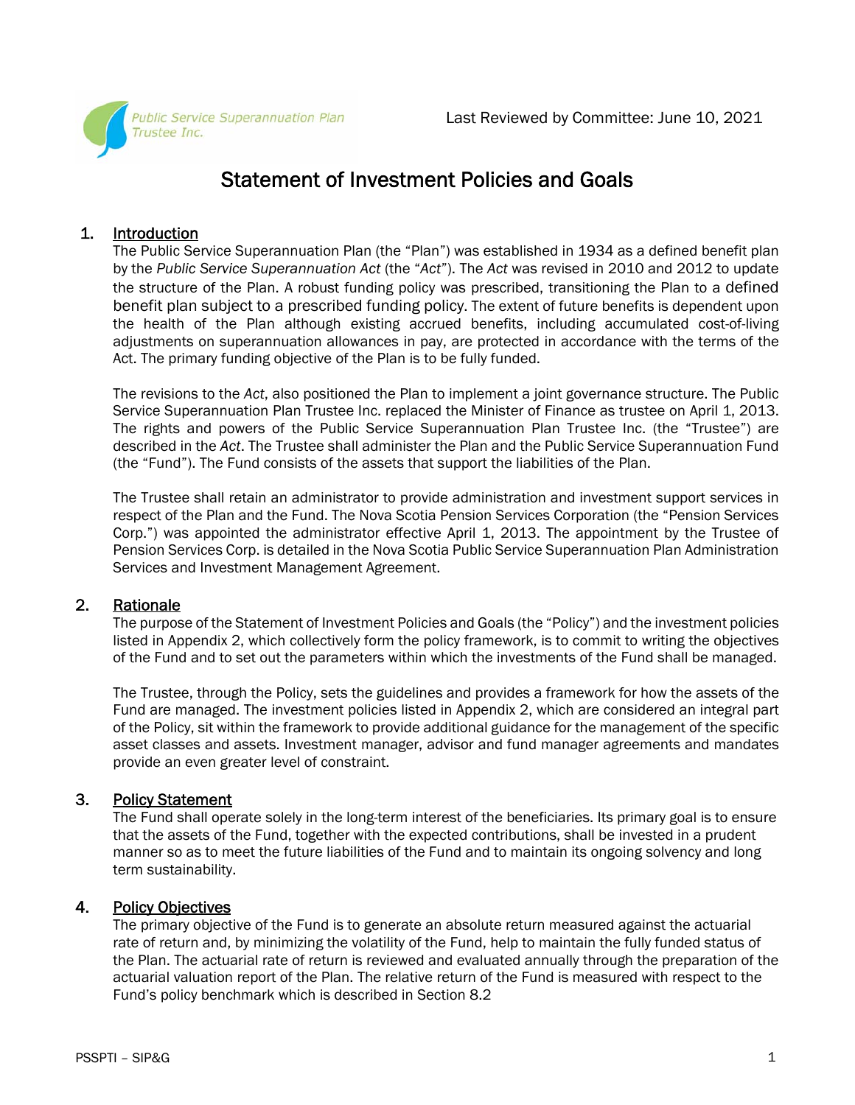

# Statement of Investment Policies and Goals

# 1. Introduction

The Public Service Superannuation Plan (the "Plan") was established in 1934 as a defined benefit plan by the *Public Service Superannuation Act* (the "*Act*"). The *Act* was revised in 2010 and 2012 to update the structure of the Plan. A robust funding policy was prescribed, transitioning the Plan to a defined benefit plan subject to a prescribed funding policy. The extent of future benefits is dependent upon the health of the Plan although existing accrued benefits, including accumulated cost-of-living adjustments on superannuation allowances in pay, are protected in accordance with the terms of the Act. The primary funding objective of the Plan is to be fully funded.

The revisions to the *Act*, also positioned the Plan to implement a joint governance structure. The Public Service Superannuation Plan Trustee Inc. replaced the Minister of Finance as trustee on April 1, 2013. The rights and powers of the Public Service Superannuation Plan Trustee Inc. (the "Trustee") are described in the *Act*. The Trustee shall administer the Plan and the Public Service Superannuation Fund (the "Fund"). The Fund consists of the assets that support the liabilities of the Plan.

The Trustee shall retain an administrator to provide administration and investment support services in respect of the Plan and the Fund. The Nova Scotia Pension Services Corporation (the "Pension Services Corp.") was appointed the administrator effective April 1, 2013. The appointment by the Trustee of Pension Services Corp. is detailed in the Nova Scotia Public Service Superannuation Plan Administration Services and Investment Management Agreement.

# 2. Rationale

The purpose of the Statement of Investment Policies and Goals (the "Policy") and the investment policies listed in Appendix 2, which collectively form the policy framework, is to commit to writing the objectives of the Fund and to set out the parameters within which the investments of the Fund shall be managed.

The Trustee, through the Policy, sets the guidelines and provides a framework for how the assets of the Fund are managed. The investment policies listed in Appendix 2, which are considered an integral part of the Policy, sit within the framework to provide additional guidance for the management of the specific asset classes and assets. Investment manager, advisor and fund manager agreements and mandates provide an even greater level of constraint.

# 3. Policy Statement

The Fund shall operate solely in the long-term interest of the beneficiaries. Its primary goal is to ensure that the assets of the Fund, together with the expected contributions, shall be invested in a prudent manner so as to meet the future liabilities of the Fund and to maintain its ongoing solvency and long term sustainability.

# 4. Policy Objectives

The primary objective of the Fund is to generate an absolute return measured against the actuarial rate of return and, by minimizing the volatility of the Fund, help to maintain the fully funded status of the Plan. The actuarial rate of return is reviewed and evaluated annually through the preparation of the actuarial valuation report of the Plan. The relative return of the Fund is measured with respect to the Fund's policy benchmark which is described in Section 8.2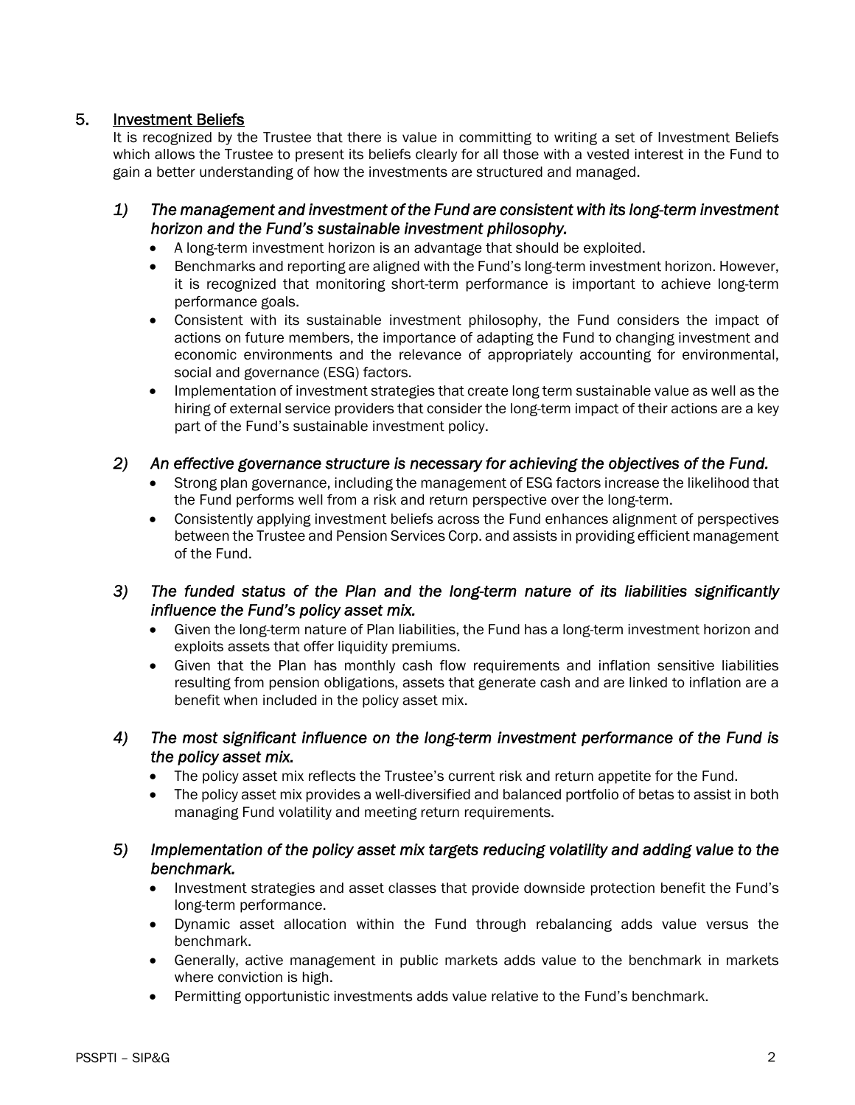# 5. Investment Beliefs

It is recognized by the Trustee that there is value in committing to writing a set of Investment Beliefs which allows the Trustee to present its beliefs clearly for all those with a vested interest in the Fund to gain a better understanding of how the investments are structured and managed.

# *1) The management and investment of the Fund are consistent with its long-term investment horizon and the Fund's sustainable investment philosophy.*

- A long-term investment horizon is an advantage that should be exploited.
- Benchmarks and reporting are aligned with the Fund's long-term investment horizon. However, it is recognized that monitoring short-term performance is important to achieve long-term performance goals.
- Consistent with its sustainable investment philosophy, the Fund considers the impact of actions on future members, the importance of adapting the Fund to changing investment and economic environments and the relevance of appropriately accounting for environmental, social and governance (ESG) factors.
- Implementation of investment strategies that create long term sustainable value as well as the hiring of external service providers that consider the long-term impact of their actions are a key part of the Fund's sustainable investment policy.

#### *2) An effective governance structure is necessary for achieving the objectives of the Fund.*

- Strong plan governance, including the management of ESG factors increase the likelihood that the Fund performs well from a risk and return perspective over the long-term.
- Consistently applying investment beliefs across the Fund enhances alignment of perspectives between the Trustee and Pension Services Corp. and assists in providing efficient management of the Fund.

# *3) The funded status of the Plan and the long-term nature of its liabilities significantly influence the Fund's policy asset mix.*

- Given the long-term nature of Plan liabilities, the Fund has a long-term investment horizon and exploits assets that offer liquidity premiums.
- Given that the Plan has monthly cash flow requirements and inflation sensitive liabilities resulting from pension obligations, assets that generate cash and are linked to inflation are a benefit when included in the policy asset mix.
- *4) The most significant influence on the long-term investment performance of the Fund is the policy asset mix.* 
	- The policy asset mix reflects the Trustee's current risk and return appetite for the Fund.
	- The policy asset mix provides a well-diversified and balanced portfolio of betas to assist in both managing Fund volatility and meeting return requirements.

# *5) Implementation of the policy asset mix targets reducing volatility and adding value to the benchmark.*

- Investment strategies and asset classes that provide downside protection benefit the Fund's long-term performance.
- Dynamic asset allocation within the Fund through rebalancing adds value versus the benchmark.
- Generally, active management in public markets adds value to the benchmark in markets where conviction is high.
- Permitting opportunistic investments adds value relative to the Fund's benchmark.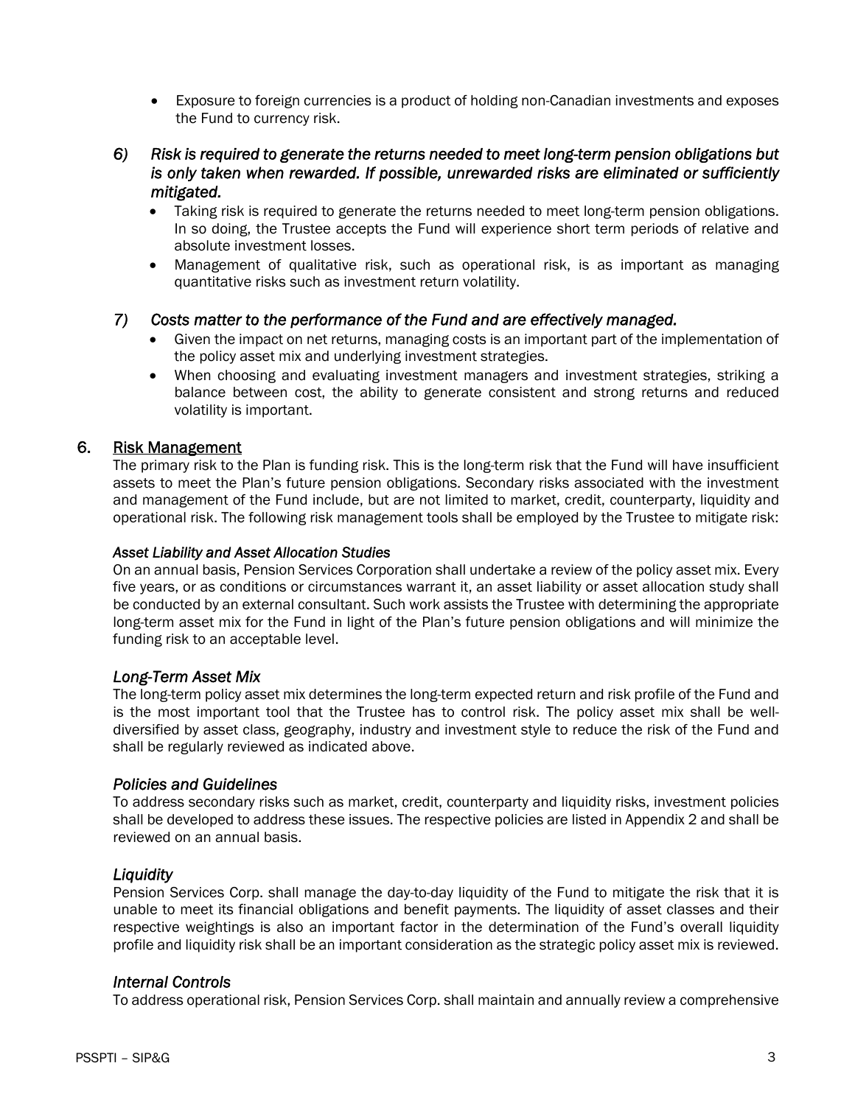- Exposure to foreign currencies is a product of holding non-Canadian investments and exposes the Fund to currency risk.
- *6) Risk is required to generate the returns needed to meet long-term pension obligations but is only taken when rewarded. If possible, unrewarded risks are eliminated or sufficiently mitigated.* 
	- Taking risk is required to generate the returns needed to meet long-term pension obligations. In so doing, the Trustee accepts the Fund will experience short term periods of relative and absolute investment losses.
	- Management of qualitative risk, such as operational risk, is as important as managing quantitative risks such as investment return volatility.

# *7) Costs matter to the performance of the Fund and are effectively managed.*

- Given the impact on net returns, managing costs is an important part of the implementation of the policy asset mix and underlying investment strategies.
- When choosing and evaluating investment managers and investment strategies, striking a balance between cost, the ability to generate consistent and strong returns and reduced volatility is important.

#### 6. Risk Management

 The primary risk to the Plan is funding risk. This is the long-term risk that the Fund will have insufficient assets to meet the Plan's future pension obligations. Secondary risks associated with the investment and management of the Fund include, but are not limited to market, credit, counterparty, liquidity and operational risk. The following risk management tools shall be employed by the Trustee to mitigate risk:

#### *Asset Liability and Asset Allocation Studies*

 On an annual basis, Pension Services Corporation shall undertake a review of the policy asset mix. Every five years, or as conditions or circumstances warrant it, an asset liability or asset allocation study shall be conducted by an external consultant. Such work assists the Trustee with determining the appropriate long-term asset mix for the Fund in light of the Plan's future pension obligations and will minimize the funding risk to an acceptable level.

#### *Long-Term Asset Mix*

 The long-term policy asset mix determines the long-term expected return and risk profile of the Fund and is the most important tool that the Trustee has to control risk. The policy asset mix shall be welldiversified by asset class, geography, industry and investment style to reduce the risk of the Fund and shall be regularly reviewed as indicated above.

#### *Policies and Guidelines*

 To address secondary risks such as market, credit, counterparty and liquidity risks, investment policies shall be developed to address these issues. The respective policies are listed in Appendix 2 and shall be reviewed on an annual basis.

#### *Liquidity*

 Pension Services Corp. shall manage the day-to-day liquidity of the Fund to mitigate the risk that it is unable to meet its financial obligations and benefit payments. The liquidity of asset classes and their respective weightings is also an important factor in the determination of the Fund's overall liquidity profile and liquidity risk shall be an important consideration as the strategic policy asset mix is reviewed.

#### *Internal Controls*

To address operational risk, Pension Services Corp. shall maintain and annually review a comprehensive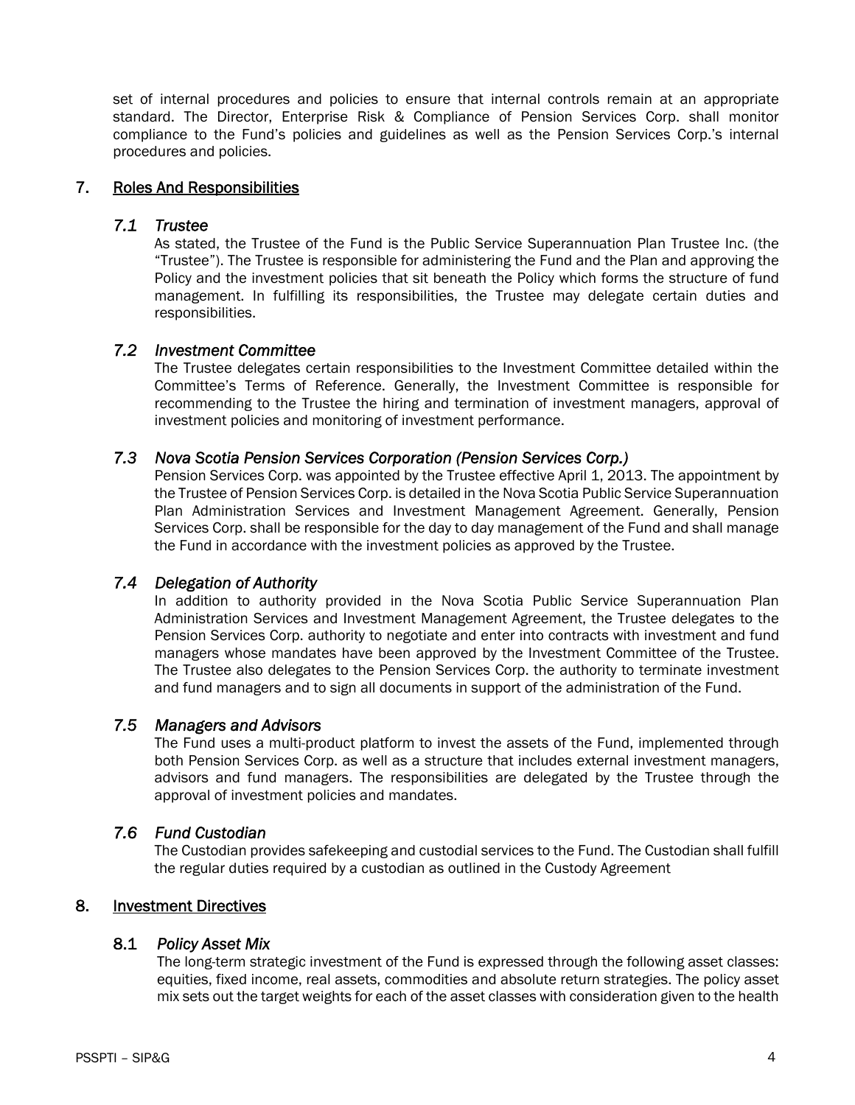set of internal procedures and policies to ensure that internal controls remain at an appropriate standard. The Director, Enterprise Risk & Compliance of Pension Services Corp. shall monitor compliance to the Fund's policies and guidelines as well as the Pension Services Corp.'s internal procedures and policies.

### 7. Roles And Responsibilities

#### *7.1 Trustee*

As stated, the Trustee of the Fund is the Public Service Superannuation Plan Trustee Inc. (the "Trustee"). The Trustee is responsible for administering the Fund and the Plan and approving the Policy and the investment policies that sit beneath the Policy which forms the structure of fund management. In fulfilling its responsibilities, the Trustee may delegate certain duties and responsibilities.

#### *7.2 Investment Committee*

The Trustee delegates certain responsibilities to the Investment Committee detailed within the Committee's Terms of Reference. Generally, the Investment Committee is responsible for recommending to the Trustee the hiring and termination of investment managers, approval of investment policies and monitoring of investment performance.

#### *7.3 Nova Scotia Pension Services Corporation (Pension Services Corp.)*

Pension Services Corp. was appointed by the Trustee effective April 1, 2013. The appointment by the Trustee of Pension Services Corp. is detailed in the Nova Scotia Public Service Superannuation Plan Administration Services and Investment Management Agreement. Generally, Pension Services Corp. shall be responsible for the day to day management of the Fund and shall manage the Fund in accordance with the investment policies as approved by the Trustee.

# *7.4 Delegation of Authority*

In addition to authority provided in the Nova Scotia Public Service Superannuation Plan Administration Services and Investment Management Agreement, the Trustee delegates to the Pension Services Corp. authority to negotiate and enter into contracts with investment and fund managers whose mandates have been approved by the Investment Committee of the Trustee. The Trustee also delegates to the Pension Services Corp. the authority to terminate investment and fund managers and to sign all documents in support of the administration of the Fund.

#### *7.5 Managers and Advisors*

The Fund uses a multi-product platform to invest the assets of the Fund, implemented through both Pension Services Corp. as well as a structure that includes external investment managers, advisors and fund managers. The responsibilities are delegated by the Trustee through the approval of investment policies and mandates.

#### *7.6 Fund Custodian*

The Custodian provides safekeeping and custodial services to the Fund. The Custodian shall fulfill the regular duties required by a custodian as outlined in the Custody Agreement

# 8. Investment Directives

#### 8.1 *Policy Asset Mix*

 The long-term strategic investment of the Fund is expressed through the following asset classes: equities, fixed income, real assets, commodities and absolute return strategies. The policy asset mix sets out the target weights for each of the asset classes with consideration given to the health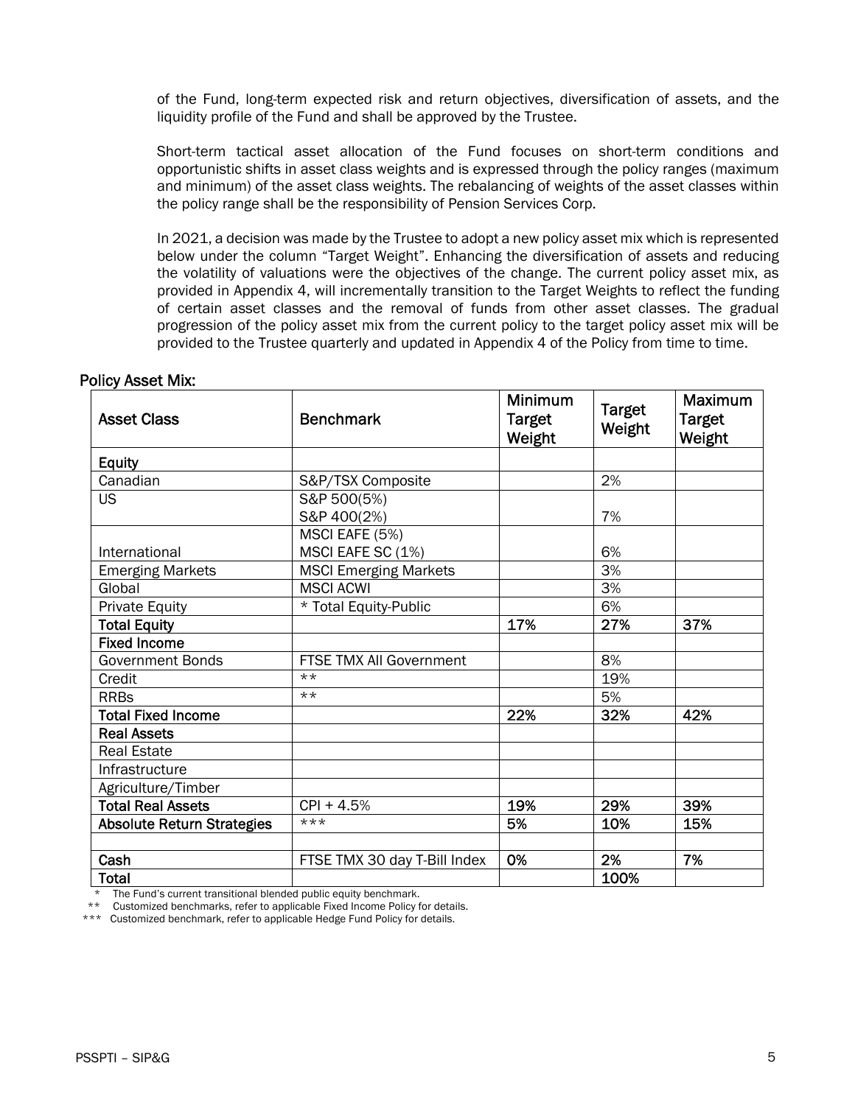of the Fund, long-term expected risk and return objectives, diversification of assets, and the liquidity profile of the Fund and shall be approved by the Trustee.

 Short-term tactical asset allocation of the Fund focuses on short-term conditions and opportunistic shifts in asset class weights and is expressed through the policy ranges (maximum and minimum) of the asset class weights. The rebalancing of weights of the asset classes within the policy range shall be the responsibility of Pension Services Corp.

 In 2021, a decision was made by the Trustee to adopt a new policy asset mix which is represented below under the column "Target Weight". Enhancing the diversification of assets and reducing the volatility of valuations were the objectives of the change. The current policy asset mix, as provided in Appendix 4, will incrementally transition to the Target Weights to reflect the funding of certain asset classes and the removal of funds from other asset classes. The gradual progression of the policy asset mix from the current policy to the target policy asset mix will be provided to the Trustee quarterly and updated in Appendix 4 of the Policy from time to time.

| <b>Asset Class</b>                | <b>Benchmark</b>                    | <b>Minimum</b><br><b>Target</b><br>Weight | <b>Target</b><br>Weight | <b>Maximum</b><br>Target<br>Weight |
|-----------------------------------|-------------------------------------|-------------------------------------------|-------------------------|------------------------------------|
| <b>Equity</b>                     |                                     |                                           |                         |                                    |
| Canadian                          | S&P/TSX Composite                   |                                           | 2%                      |                                    |
| <b>US</b>                         | S&P 500(5%)<br>S&P 400(2%)          |                                           | 7%                      |                                    |
| International                     | MSCI EAFE (5%)<br>MSCI EAFE SC (1%) |                                           | 6%                      |                                    |
| <b>Emerging Markets</b>           | <b>MSCI Emerging Markets</b>        |                                           | 3%                      |                                    |
| Global                            | <b>MSCI ACWI</b>                    |                                           | 3%                      |                                    |
| <b>Private Equity</b>             | * Total Equity-Public               |                                           | 6%                      |                                    |
| <b>Total Equity</b>               |                                     | 17%                                       | 27%                     | 37%                                |
| <b>Fixed Income</b>               |                                     |                                           |                         |                                    |
| <b>Government Bonds</b>           | FTSE TMX All Government             |                                           | 8%                      |                                    |
| Credit                            | $***$                               |                                           | 19%                     |                                    |
| <b>RRBs</b>                       | $***$                               |                                           | 5%                      |                                    |
| <b>Total Fixed Income</b>         |                                     | 22%                                       | 32%                     | 42%                                |
| <b>Real Assets</b>                |                                     |                                           |                         |                                    |
| <b>Real Estate</b>                |                                     |                                           |                         |                                    |
| Infrastructure                    |                                     |                                           |                         |                                    |
| Agriculture/Timber                |                                     |                                           |                         |                                    |
| <b>Total Real Assets</b>          | CPI + 4.5%                          | 19%                                       | 29%                     | 39%                                |
| <b>Absolute Return Strategies</b> | ***                                 | 5%                                        | 10%                     | 15%                                |
| Cash                              | FTSE TMX 30 day T-Bill Index        | 0%                                        | 2%                      | 7%                                 |
| <b>Total</b>                      |                                     |                                           | 100%                    |                                    |

#### Policy Asset Mix:

The Fund's current transitional blended public equity benchmark.

\*\*\* Customized benchmark, refer to applicable Hedge Fund Policy for details.

 <sup>\*\*</sup> Customized benchmarks, refer to applicable Fixed Income Policy for details.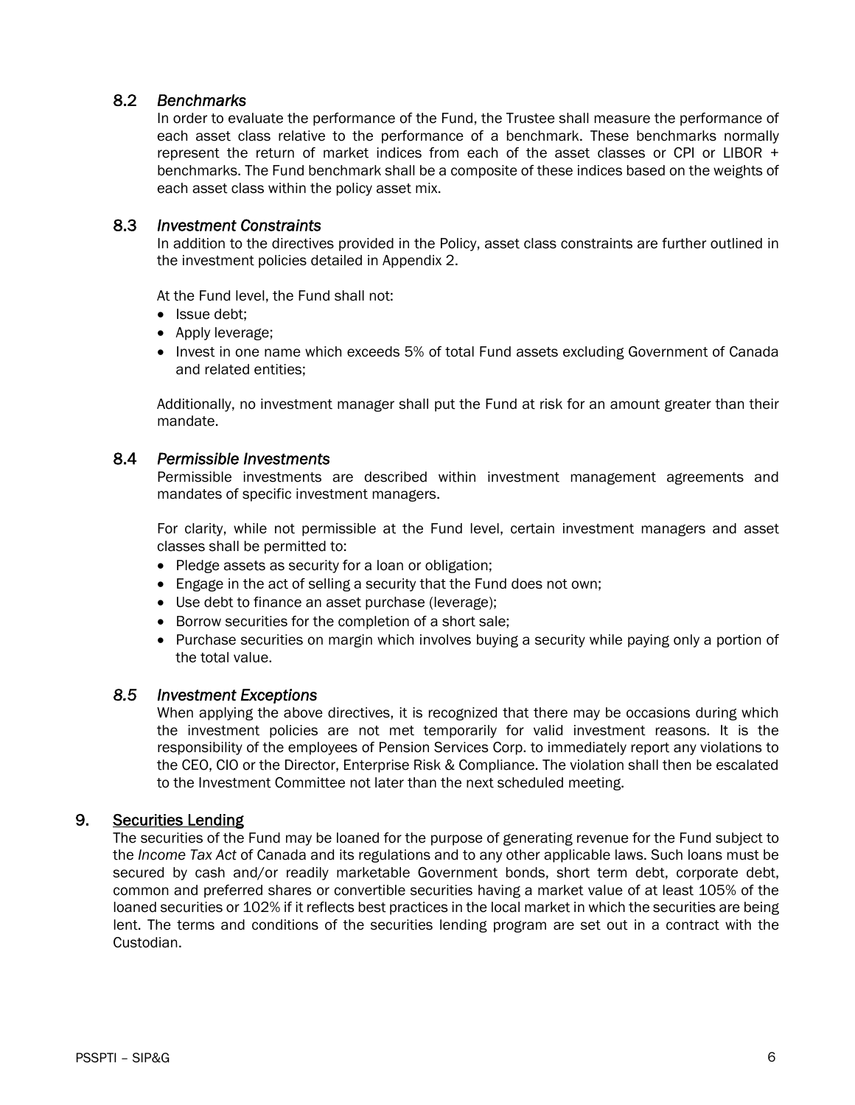# 8.2 *Benchmarks*

 In order to evaluate the performance of the Fund, the Trustee shall measure the performance of each asset class relative to the performance of a benchmark. These benchmarks normally represent the return of market indices from each of the asset classes or CPI or LIBOR + benchmarks. The Fund benchmark shall be a composite of these indices based on the weights of each asset class within the policy asset mix.

#### 8.3 *Investment Constraints*

 In addition to the directives provided in the Policy, asset class constraints are further outlined in the investment policies detailed in Appendix 2.

At the Fund level, the Fund shall not:

- Issue debt:
- Apply leverage;
- Invest in one name which exceeds 5% of total Fund assets excluding Government of Canada and related entities;

Additionally, no investment manager shall put the Fund at risk for an amount greater than their mandate.

#### 8.4 *Permissible Investments*

 Permissible investments are described within investment management agreements and mandates of specific investment managers.

 For clarity, while not permissible at the Fund level, certain investment managers and asset classes shall be permitted to:

- Pledge assets as security for a loan or obligation;
- Engage in the act of selling a security that the Fund does not own;
- Use debt to finance an asset purchase (leverage);
- Borrow securities for the completion of a short sale;
- Purchase securities on margin which involves buying a security while paying only a portion of the total value.

#### *8.5 Investment Exceptions*

When applying the above directives, it is recognized that there may be occasions during which the investment policies are not met temporarily for valid investment reasons. It is the responsibility of the employees of Pension Services Corp. to immediately report any violations to the CEO, CIO or the Director, Enterprise Risk & Compliance. The violation shall then be escalated to the Investment Committee not later than the next scheduled meeting.

#### 9. Securities Lending

 The securities of the Fund may be loaned for the purpose of generating revenue for the Fund subject to the *Income Tax Act* of Canada and its regulations and to any other applicable laws. Such loans must be secured by cash and/or readily marketable Government bonds, short term debt, corporate debt, common and preferred shares or convertible securities having a market value of at least 105% of the loaned securities or 102% if it reflects best practices in the local market in which the securities are being lent. The terms and conditions of the securities lending program are set out in a contract with the Custodian.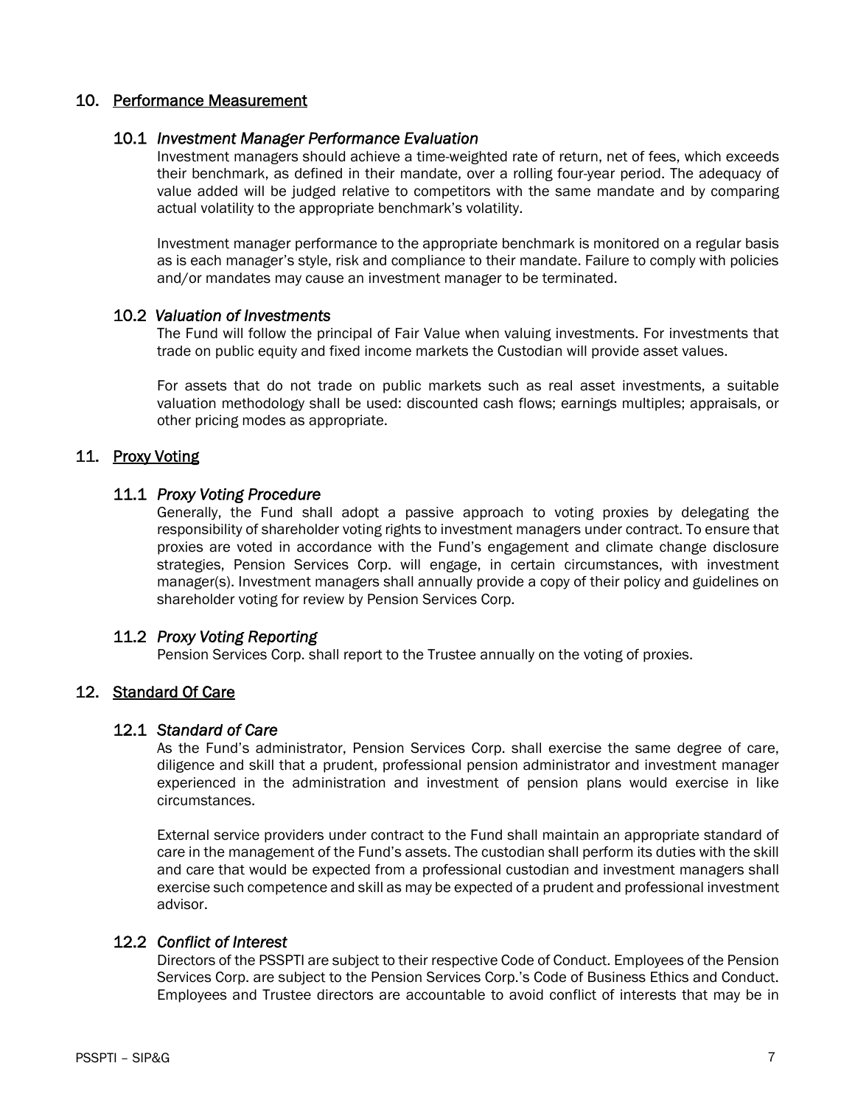### 10. Performance Measurement

#### 10.1 *Investment Manager Performance Evaluation*

Investment managers should achieve a time-weighted rate of return, net of fees, which exceeds their benchmark, as defined in their mandate, over a rolling four-year period. The adequacy of value added will be judged relative to competitors with the same mandate and by comparing actual volatility to the appropriate benchmark's volatility.

Investment manager performance to the appropriate benchmark is monitored on a regular basis as is each manager's style, risk and compliance to their mandate. Failure to comply with policies and/or mandates may cause an investment manager to be terminated.

#### 10.2 *Valuation of Investments*

The Fund will follow the principal of Fair Value when valuing investments. For investments that trade on public equity and fixed income markets the Custodian will provide asset values.

For assets that do not trade on public markets such as real asset investments, a suitable valuation methodology shall be used: discounted cash flows; earnings multiples; appraisals, or other pricing modes as appropriate.

#### 11. Proxy Voting

#### 11.1 *Proxy Voting Procedure*

Generally, the Fund shall adopt a passive approach to voting proxies by delegating the responsibility of shareholder voting rights to investment managers under contract. To ensure that proxies are voted in accordance with the Fund's engagement and climate change disclosure strategies, Pension Services Corp. will engage, in certain circumstances, with investment manager(s). Investment managers shall annually provide a copy of their policy and guidelines on shareholder voting for review by Pension Services Corp.

#### 11.2 *Proxy Voting Reporting*

Pension Services Corp. shall report to the Trustee annually on the voting of proxies.

#### 12. Standard Of Care

#### 12.1 *Standard of Care*

As the Fund's administrator, Pension Services Corp. shall exercise the same degree of care, diligence and skill that a prudent, professional pension administrator and investment manager experienced in the administration and investment of pension plans would exercise in like circumstances.

External service providers under contract to the Fund shall maintain an appropriate standard of care in the management of the Fund's assets. The custodian shall perform its duties with the skill and care that would be expected from a professional custodian and investment managers shall exercise such competence and skill as may be expected of a prudent and professional investment advisor.

#### 12.2 *Conflict of Interest*

Directors of the PSSPTI are subject to their respective Code of Conduct. Employees of the Pension Services Corp. are subject to the Pension Services Corp.'s Code of Business Ethics and Conduct. Employees and Trustee directors are accountable to avoid conflict of interests that may be in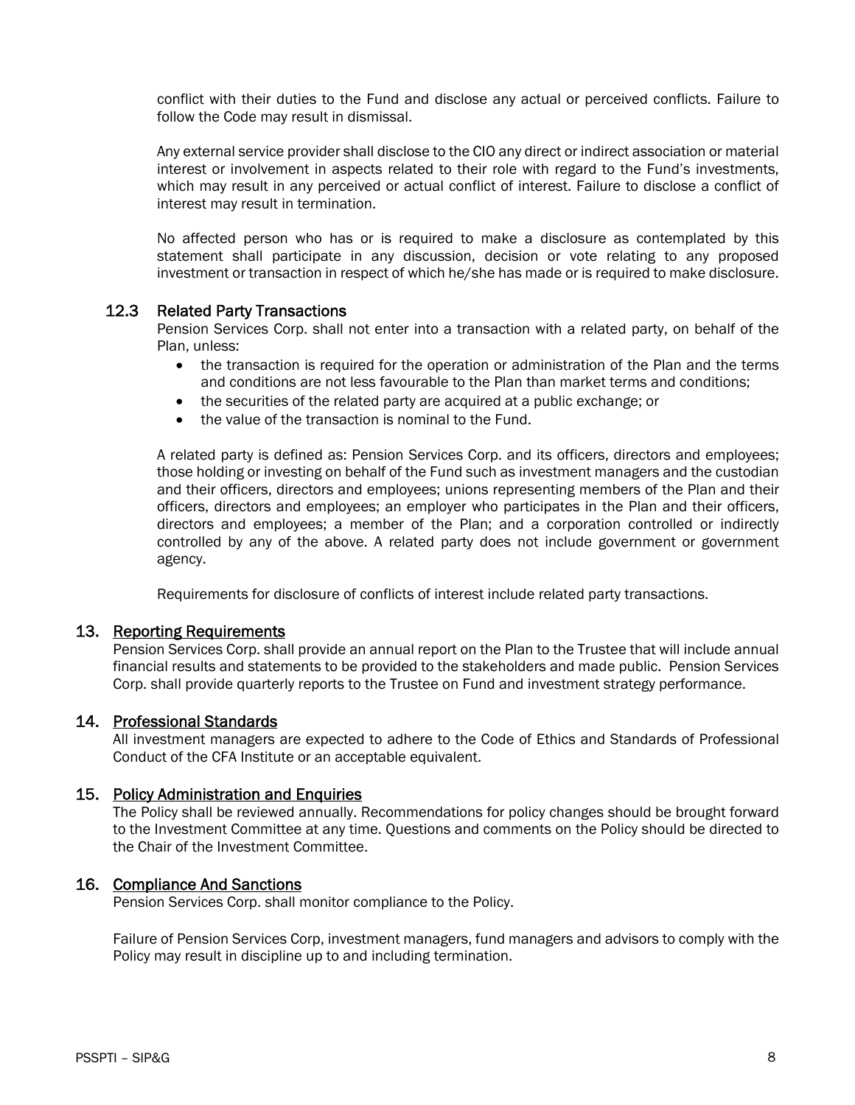conflict with their duties to the Fund and disclose any actual or perceived conflicts. Failure to follow the Code may result in dismissal.

 Any external service provider shall disclose to the CIO any direct or indirect association or material interest or involvement in aspects related to their role with regard to the Fund's investments, which may result in any perceived or actual conflict of interest. Failure to disclose a conflict of interest may result in termination.

 No affected person who has or is required to make a disclosure as contemplated by this statement shall participate in any discussion, decision or vote relating to any proposed investment or transaction in respect of which he/she has made or is required to make disclosure.

#### 12.3 Related Party Transactions

Pension Services Corp. shall not enter into a transaction with a related party, on behalf of the Plan, unless:

- the transaction is required for the operation or administration of the Plan and the terms and conditions are not less favourable to the Plan than market terms and conditions;
- the securities of the related party are acquired at a public exchange; or
- the value of the transaction is nominal to the Fund.

A related party is defined as: Pension Services Corp. and its officers, directors and employees; those holding or investing on behalf of the Fund such as investment managers and the custodian and their officers, directors and employees; unions representing members of the Plan and their officers, directors and employees; an employer who participates in the Plan and their officers, directors and employees; a member of the Plan; and a corporation controlled or indirectly controlled by any of the above. A related party does not include government or government agency.

Requirements for disclosure of conflicts of interest include related party transactions.

# 13. Reporting Requirements

Pension Services Corp. shall provide an annual report on the Plan to the Trustee that will include annual financial results and statements to be provided to the stakeholders and made public. Pension Services Corp. shall provide quarterly reports to the Trustee on Fund and investment strategy performance.

#### 14. Professional Standards

All investment managers are expected to adhere to the Code of Ethics and Standards of Professional Conduct of the CFA Institute or an acceptable equivalent.

#### 15. Policy Administration and Enquiries

The Policy shall be reviewed annually. Recommendations for policy changes should be brought forward to the Investment Committee at any time. Questions and comments on the Policy should be directed to the Chair of the Investment Committee.

#### 16. Compliance And Sanctions

Pension Services Corp. shall monitor compliance to the Policy.

Failure of Pension Services Corp, investment managers, fund managers and advisors to comply with the Policy may result in discipline up to and including termination.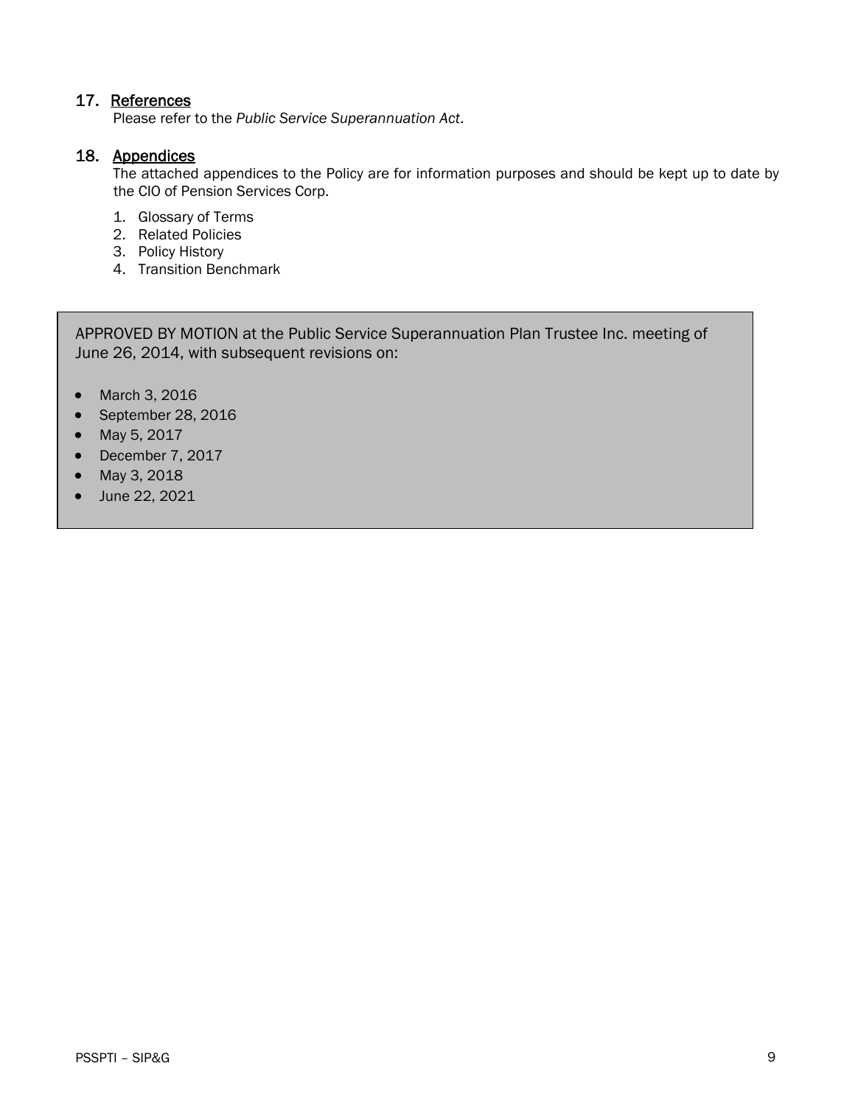# 17. References

Please refer to the *Public Service Superannuation Act*.

### 18. Appendices

 The attached appendices to the Policy are for information purposes and should be kept up to date by the CIO of Pension Services Corp.

- 1. Glossary of Terms
- 2. Related Policies
- 3. Policy History
- 4. Transition Benchmark

APPROVED BY MOTION at the Public Service Superannuation Plan Trustee Inc. meeting of June 26, 2014, with subsequent revisions on:

- March 3, 2016
- September 28, 2016
- May 5, 2017
- December 7, 2017
- May 3, 2018
- June 22, 2021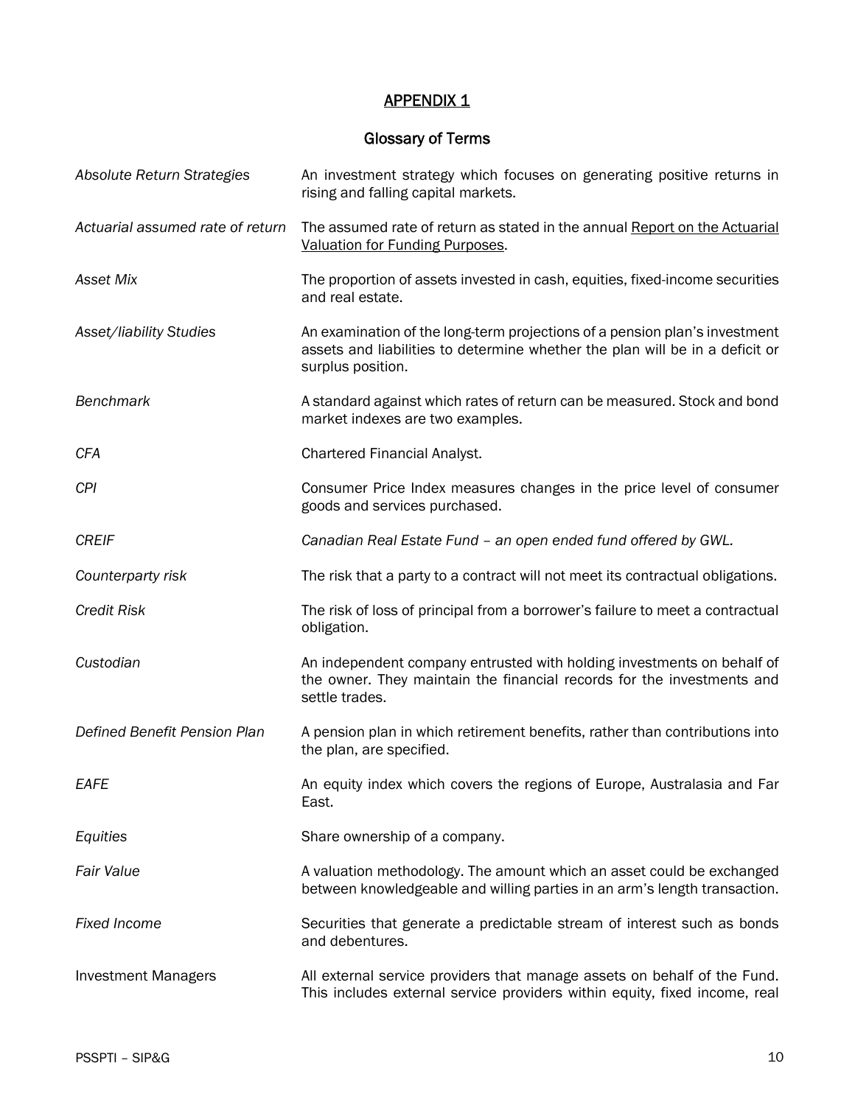# **APPENDIX 1**

# Glossary of Terms

| Absolute Return Strategies       | An investment strategy which focuses on generating positive returns in<br>rising and falling capital markets.                                                                   |
|----------------------------------|---------------------------------------------------------------------------------------------------------------------------------------------------------------------------------|
| Actuarial assumed rate of return | The assumed rate of return as stated in the annual Report on the Actuarial<br>Valuation for Funding Purposes.                                                                   |
| Asset Mix                        | The proportion of assets invested in cash, equities, fixed-income securities<br>and real estate.                                                                                |
| Asset/liability Studies          | An examination of the long-term projections of a pension plan's investment<br>assets and liabilities to determine whether the plan will be in a deficit or<br>surplus position. |
| <b>Benchmark</b>                 | A standard against which rates of return can be measured. Stock and bond<br>market indexes are two examples.                                                                    |
| <b>CFA</b>                       | Chartered Financial Analyst.                                                                                                                                                    |
| <b>CPI</b>                       | Consumer Price Index measures changes in the price level of consumer<br>goods and services purchased.                                                                           |
| <b>CREIF</b>                     | Canadian Real Estate Fund - an open ended fund offered by GWL.                                                                                                                  |
| Counterparty risk                | The risk that a party to a contract will not meet its contractual obligations.                                                                                                  |
| <b>Credit Risk</b>               | The risk of loss of principal from a borrower's failure to meet a contractual<br>obligation.                                                                                    |
| Custodian                        | An independent company entrusted with holding investments on behalf of<br>the owner. They maintain the financial records for the investments and<br>settle trades.              |
| Defined Benefit Pension Plan     | A pension plan in which retirement benefits, rather than contributions into<br>the plan, are specified.                                                                         |
| <b>EAFE</b>                      | An equity index which covers the regions of Europe, Australasia and Far<br>East.                                                                                                |
| Equities                         | Share ownership of a company.                                                                                                                                                   |
| <b>Fair Value</b>                | A valuation methodology. The amount which an asset could be exchanged<br>between knowledgeable and willing parties in an arm's length transaction.                              |
| <b>Fixed Income</b>              | Securities that generate a predictable stream of interest such as bonds<br>and debentures.                                                                                      |
| <b>Investment Managers</b>       | All external service providers that manage assets on behalf of the Fund.<br>This includes external service providers within equity, fixed income, real                          |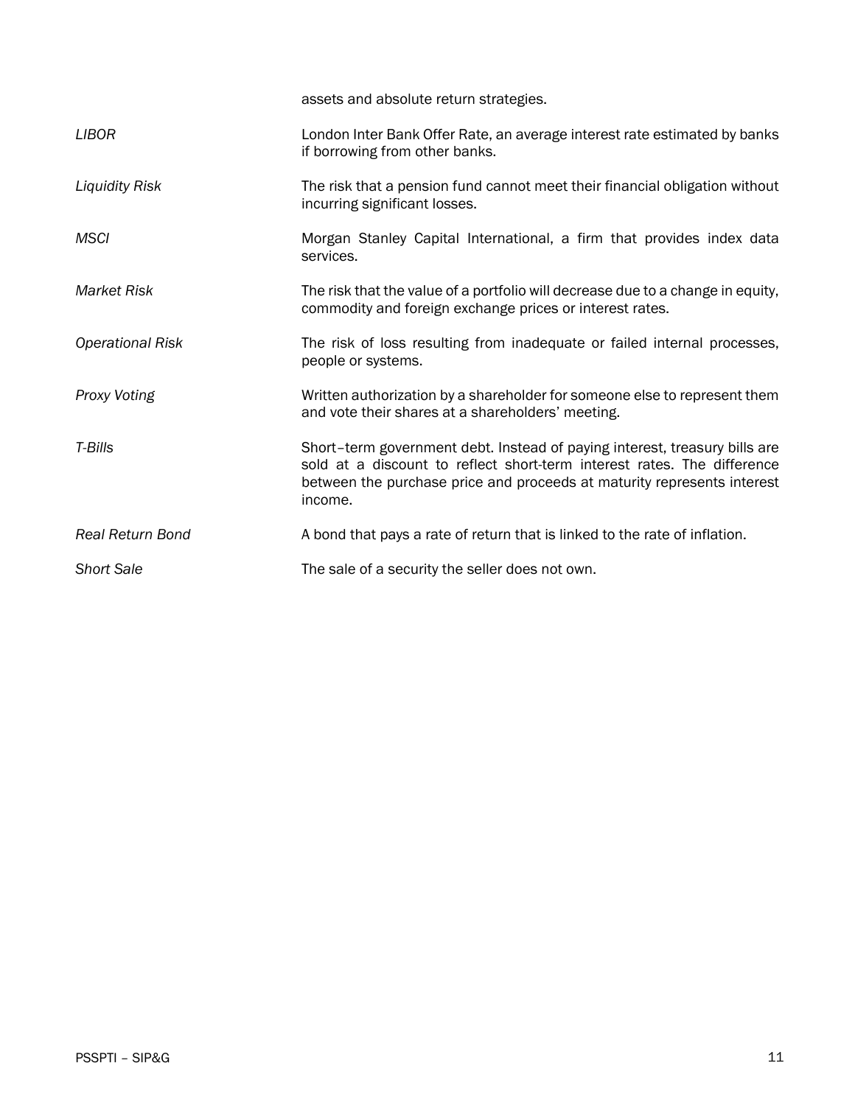|                         | assets and absolute return strategies.                                                                                                                                                                                                      |
|-------------------------|---------------------------------------------------------------------------------------------------------------------------------------------------------------------------------------------------------------------------------------------|
| <b>LIBOR</b>            | London Inter Bank Offer Rate, an average interest rate estimated by banks<br>if borrowing from other banks.                                                                                                                                 |
| <b>Liquidity Risk</b>   | The risk that a pension fund cannot meet their financial obligation without<br>incurring significant losses.                                                                                                                                |
| <b>MSCI</b>             | Morgan Stanley Capital International, a firm that provides index data<br>services.                                                                                                                                                          |
| <b>Market Risk</b>      | The risk that the value of a portfolio will decrease due to a change in equity,<br>commodity and foreign exchange prices or interest rates.                                                                                                 |
| <b>Operational Risk</b> | The risk of loss resulting from inadequate or failed internal processes,<br>people or systems.                                                                                                                                              |
| Proxy Voting            | Written authorization by a shareholder for someone else to represent them<br>and vote their shares at a shareholders' meeting.                                                                                                              |
| T-Bills                 | Short-term government debt. Instead of paying interest, treasury bills are<br>sold at a discount to reflect short-term interest rates. The difference<br>between the purchase price and proceeds at maturity represents interest<br>income. |
| <b>Real Return Bond</b> | A bond that pays a rate of return that is linked to the rate of inflation.                                                                                                                                                                  |
| <b>Short Sale</b>       | The sale of a security the seller does not own.                                                                                                                                                                                             |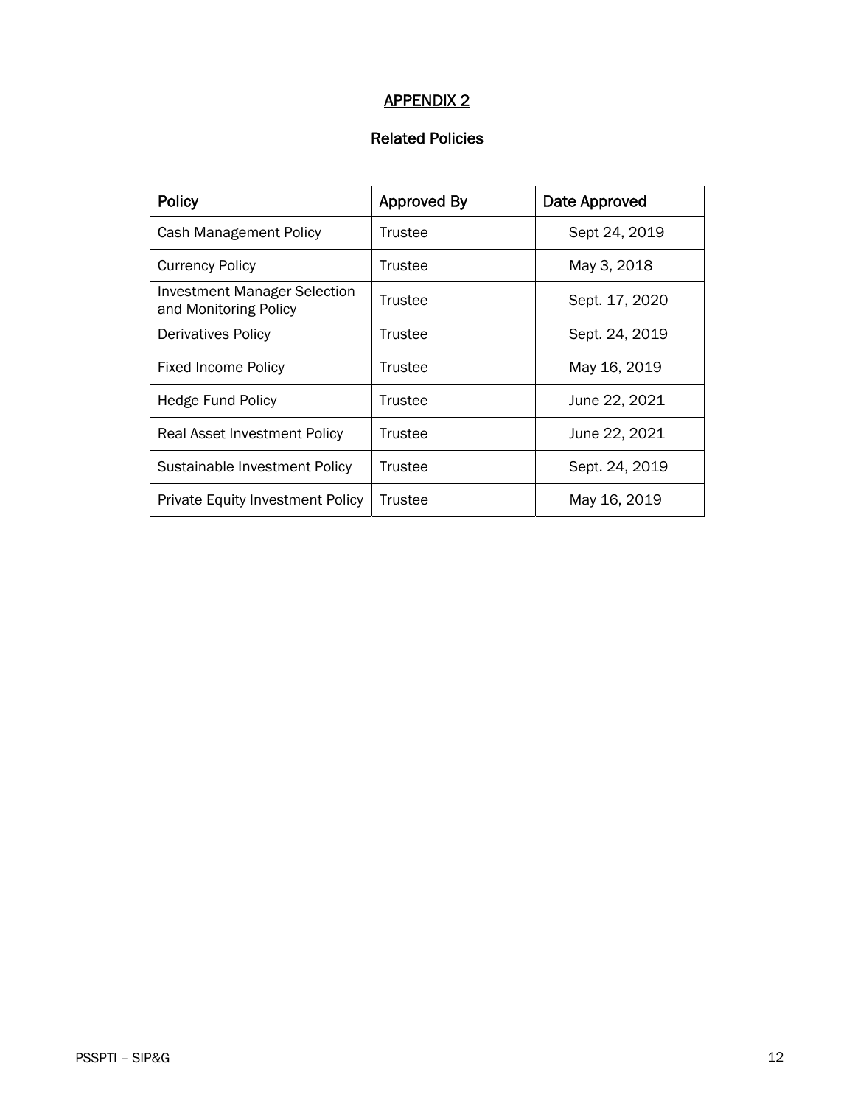# APPENDIX 2

# Related Policies

| <b>Policy</b>                                                | <b>Approved By</b> | Date Approved  |  |  |  |
|--------------------------------------------------------------|--------------------|----------------|--|--|--|
| Cash Management Policy                                       | Trustee            | Sept 24, 2019  |  |  |  |
| <b>Currency Policy</b>                                       | Trustee            | May 3, 2018    |  |  |  |
| <b>Investment Manager Selection</b><br>and Monitoring Policy | Trustee            | Sept. 17, 2020 |  |  |  |
| <b>Derivatives Policy</b>                                    | Trustee            | Sept. 24, 2019 |  |  |  |
| <b>Fixed Income Policy</b>                                   | Trustee            | May 16, 2019   |  |  |  |
| <b>Hedge Fund Policy</b>                                     | Trustee            | June 22, 2021  |  |  |  |
| Real Asset Investment Policy                                 | Trustee            | June 22, 2021  |  |  |  |
| Sustainable Investment Policy                                | Trustee            | Sept. 24, 2019 |  |  |  |
| <b>Private Equity Investment Policy</b>                      | Trustee            | May 16, 2019   |  |  |  |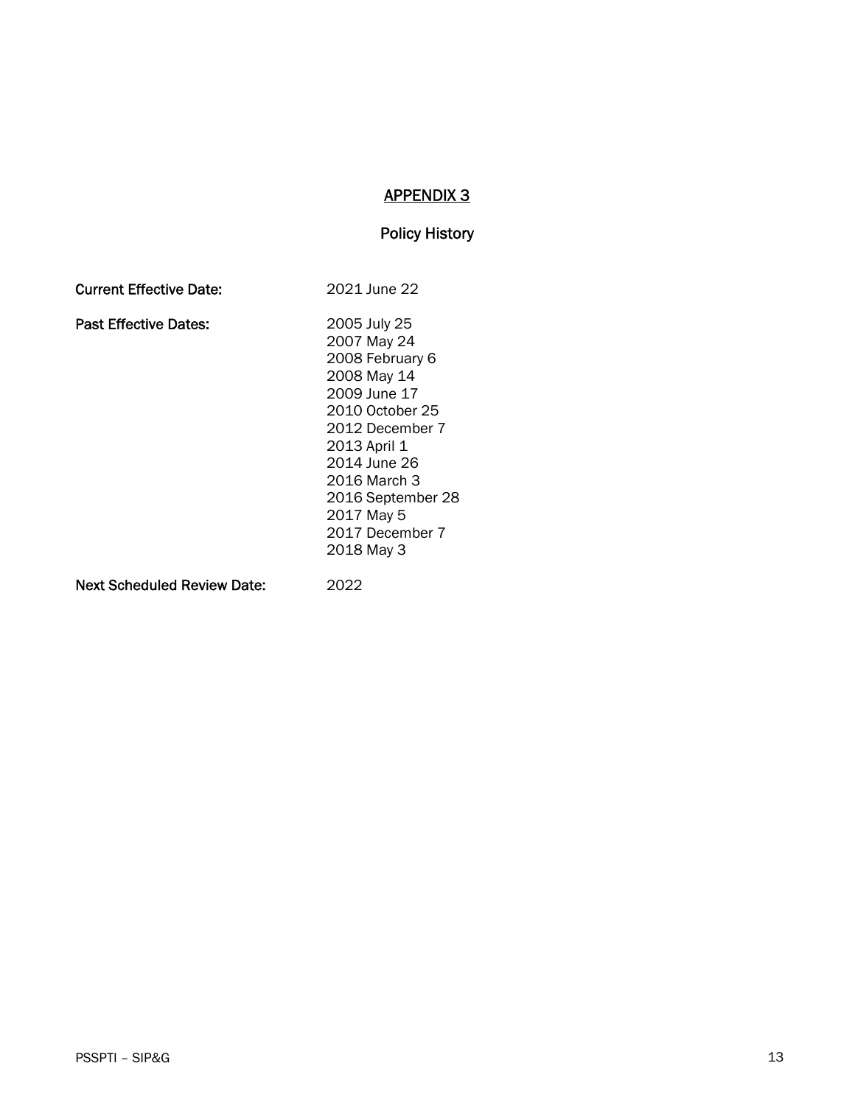# APPENDIX 3

#### Policy History

| <b>Current Effective Date:</b> | 2021 June 22      |
|--------------------------------|-------------------|
| <b>Past Effective Dates:</b>   | 2005 July 25      |
|                                | 2007 May 24       |
|                                | 2008 February 6   |
|                                | 2008 May 14       |
|                                | 2009 June 17      |
|                                | 2010 October 25   |
|                                | 2012 December 7   |
|                                | 2013 April 1      |
|                                | 2014 June 26      |
|                                | 2016 March 3      |
|                                | 2016 September 28 |
|                                | 2017 May 5        |
|                                | 2017 December 7   |
|                                | 2018 May 3        |
| Next Scheduled Review Date:    | 2022              |